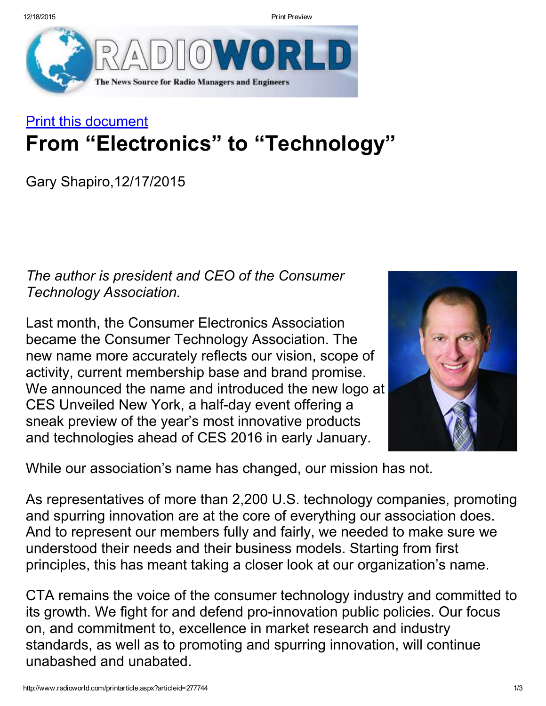12/18/2015 Print Preview



## Print this document From "Electronics" to "Technology"

Gary Shapiro,12/17/2015

*The author is president and CEO of the Consumer Technology Association.*

Last month, the Consumer Electronics Association became the Consumer Technology Association. The new name more accurately reflects our vision, scope of activity, current membership base and brand promise. We announced the name and introduced the new logo at CES Unveiled New York, a half-day event offering a sneak preview of the year's most innovative products and technologies ahead of CES 2016 in early January.



While our association's name has changed, our mission has not.

As representatives of more than 2,200 U.S. technology companies, promoting and spurring innovation are at the core of everything our association does. And to represent our members fully and fairly, we needed to make sure we understood their needs and their business models. Starting from first principles, this has meant taking a closer look at our organization's name.

CTA remains the voice of the consumer technology industry and committed to its growth. We fight for and defend pro-innovation public policies. Our focus on, and commitment to, excellence in market research and industry standards, as well as to promoting and spurring innovation, will continue unabashed and unabated.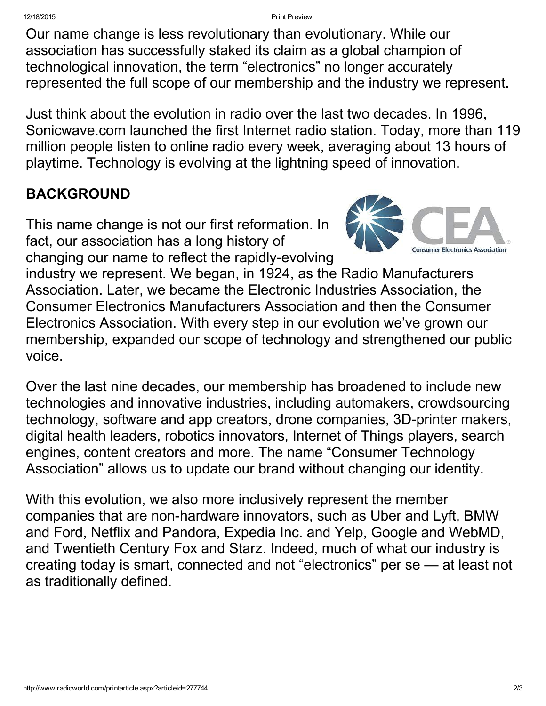12/18/2015 Print Preview

Our name change is less revolutionary than evolutionary. While our association has successfully staked its claim as a global champion of technological innovation, the term "electronics" no longer accurately represented the full scope of our membership and the industry we represent.

Just think about the evolution in radio over the last two decades. In 1996, Sonicwave.com launched the first Internet radio station. Today, more than 119 million people listen to online radio every week, averaging about 13 hours of playtime. Technology is evolving at the lightning speed of innovation.

## BACKGROUND

This name change is not our first reformation. In fact, our association has a long history of changing our name to reflect the rapidly-evolving



industry we represent. We began, in 1924, as the Radio Manufacturers Association. Later, we became the Electronic Industries Association, the Consumer Electronics Manufacturers Association and then the Consumer Electronics Association. With every step in our evolution we've grown our membership, expanded our scope of technology and strengthened our public voice.

Over the last nine decades, our membership has broadened to include new technologies and innovative industries, including automakers, crowdsourcing technology, software and app creators, drone companies, 3D-printer makers, digital health leaders, robotics innovators, Internet of Things players, search engines, content creators and more. The name "Consumer Technology Association" allows us to update our brand without changing our identity.

With this evolution, we also more inclusively represent the member companies that are non-hardware innovators, such as Uber and Lyft, BMW and Ford, Netflix and Pandora, Expedia Inc. and Yelp, Google and WebMD, and Twentieth Century Fox and Starz. Indeed, much of what our industry is creating today is smart, connected and not "electronics" per se — at least not as traditionally defined.